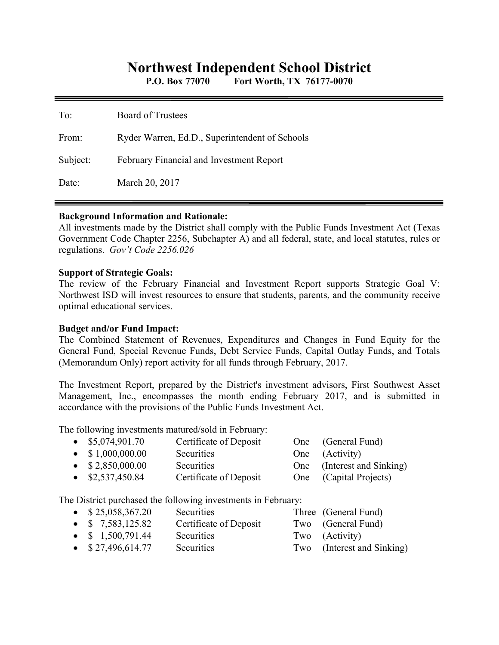# **Northwest Independent School District**

**P.O. Box 77070 Fort Worth, TX 76177-0070** 

| To:      | Board of Trustees                              |
|----------|------------------------------------------------|
| From:    | Ryder Warren, Ed.D., Superintendent of Schools |
| Subject: | February Financial and Investment Report       |
| Date:    | March 20, 2017                                 |

### **Background Information and Rationale:**

All investments made by the District shall comply with the Public Funds Investment Act (Texas Government Code Chapter 2256, Subchapter A) and all federal, state, and local statutes, rules or regulations. *Gov't Code 2256.026* 

### **Support of Strategic Goals:**

The review of the February Financial and Investment Report supports Strategic Goal V: Northwest ISD will invest resources to ensure that students, parents, and the community receive optimal educational services.

## **Budget and/or Fund Impact:**

The Combined Statement of Revenues, Expenditures and Changes in Fund Equity for the General Fund, Special Revenue Funds, Debt Service Funds, Capital Outlay Funds, and Totals (Memorandum Only) report activity for all funds through February, 2017.

The Investment Report, prepared by the District's investment advisors, First Southwest Asset Management, Inc., encompasses the month ending February 2017, and is submitted in accordance with the provisions of the Public Funds Investment Act.

The following investments matured/sold in February:

| $\bullet$ \$5,074,901.70 | Certificate of Deposit | One (General Fund)         |
|--------------------------|------------------------|----------------------------|
| $\bullet$ \$1,000,000.00 | Securities             | One (Activity)             |
| $\bullet$ \$2,850,000.00 | <b>Securities</b>      | One (Interest and Sinking) |
| $\bullet$ \$2,537,450.84 | Certificate of Deposit | One (Capital Projects)     |

The District purchased the following investments in February:

| $\bullet$ \$25,058,367.20 | Securities             | Three (General Fund)       |
|---------------------------|------------------------|----------------------------|
| • $$7,583,125.82$         | Certificate of Deposit | Two (General Fund)         |
| • $$1,500,791.44$         | <b>Securities</b>      | Two (Activity)             |
| $\bullet$ \$27,496,614.77 | Securities             | Two (Interest and Sinking) |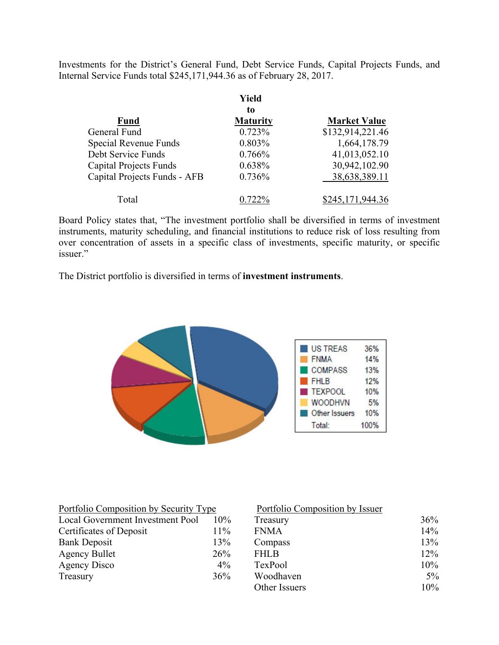Investments for the District's General Fund, Debt Service Funds, Capital Projects Funds, and Internal Service Funds total \$245,171,944.36 as of February 28, 2017.

|                               | Yield           |                     |
|-------------------------------|-----------------|---------------------|
|                               | to              |                     |
| <b>Fund</b>                   | <b>Maturity</b> | <b>Market Value</b> |
| General Fund                  | 0.723%          | \$132,914,221.46    |
| Special Revenue Funds         | 0.803%          | 1,664,178.79        |
| Debt Service Funds            | 0.766%          | 41,013,052.10       |
| <b>Capital Projects Funds</b> | 0.638%          | 30,942,102.90       |
| Capital Projects Funds - AFB  | 0.736%          | 38,638,389.11       |
| Total                         | $0.722\%$       | \$245,171,944.36    |

Board Policy states that, "The investment portfolio shall be diversified in terms of investment instruments, maturity scheduling, and financial institutions to reduce risk of loss resulting from over concentration of assets in a specific class of investments, specific maturity, or specific issuer."

The District portfolio is diversified in terms of **investment instruments**.



| Portfolio Composition by Security Type |        | Portfolio Composition by Issuer |       |
|----------------------------------------|--------|---------------------------------|-------|
| Local Government Investment Pool       | $10\%$ | Treasury                        | 36%   |
| Certificates of Deposit                | 11%    | <b>FNMA</b>                     | 14%   |
| <b>Bank Deposit</b>                    | 13%    | Compass                         | 13%   |
| <b>Agency Bullet</b>                   | 26%    | <b>FHLB</b>                     | 12%   |
| Agency Disco                           | $4\%$  | TexPool                         | 10%   |
| Treasury                               | 36%    | Woodhaven                       | $5\%$ |
|                                        |        | Other Issuers                   | 10%   |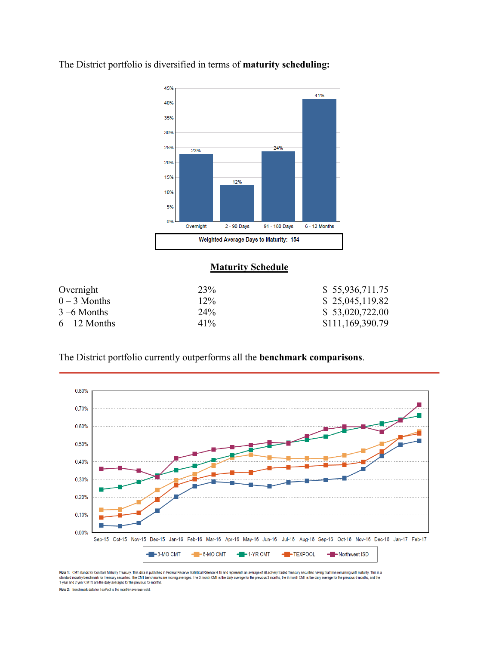

The District portfolio is diversified in terms of **maturity scheduling:** 

# **Maturity Schedule**

| Overnight       | 23%    | \$55,936,711.75  |
|-----------------|--------|------------------|
| $0-3$ Months    | $12\%$ | \$25,045,119.82  |
| $3 - 6$ Months  | $24\%$ | \$53,020,722.00  |
| $6 - 12$ Months | $41\%$ | \$111,169,390.79 |

The District portfolio currently outperforms all the **benchmark comparisons**.



Note 1: CMT stands for Constant Maturity Treasury. This data is published in Federal Reenve Statistical Release H.15 and represents an average of all actively traded Treasury securities having that time remaining until mat 1-year and 2-year CMT's are the daily averages for the previous 12-months.

Note 2: Benchmark data for TexPool is the monthly average yield.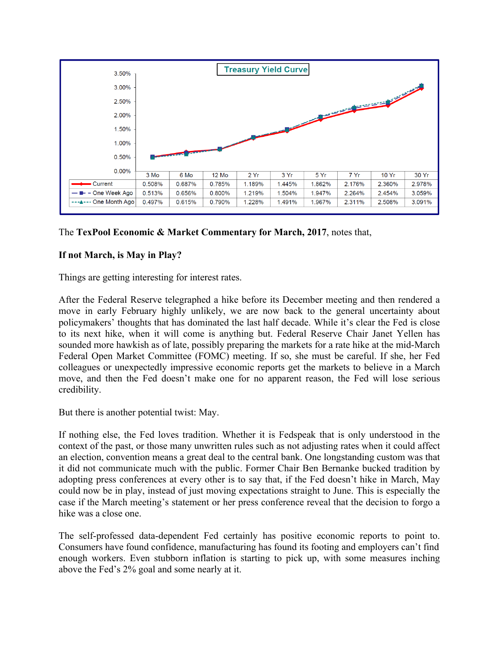

# The **TexPool Economic & Market Commentary for March, 2017**, notes that,

# **If not March, is May in Play?**

Things are getting interesting for interest rates.

After the Federal Reserve telegraphed a hike before its December meeting and then rendered a move in early February highly unlikely, we are now back to the general uncertainty about policymakers' thoughts that has dominated the last half decade. While it's clear the Fed is close to its next hike, when it will come is anything but. Federal Reserve Chair Janet Yellen has sounded more hawkish as of late, possibly preparing the markets for a rate hike at the mid-March Federal Open Market Committee (FOMC) meeting. If so, she must be careful. If she, her Fed colleagues or unexpectedly impressive economic reports get the markets to believe in a March move, and then the Fed doesn't make one for no apparent reason, the Fed will lose serious credibility.

But there is another potential twist: May.

If nothing else, the Fed loves tradition. Whether it is Fedspeak that is only understood in the context of the past, or those many unwritten rules such as not adjusting rates when it could affect an election, convention means a great deal to the central bank. One longstanding custom was that it did not communicate much with the public. Former Chair Ben Bernanke bucked tradition by adopting press conferences at every other is to say that, if the Fed doesn't hike in March, May could now be in play, instead of just moving expectations straight to June. This is especially the case if the March meeting's statement or her press conference reveal that the decision to forgo a hike was a close one.

The self-professed data-dependent Fed certainly has positive economic reports to point to. Consumers have found confidence, manufacturing has found its footing and employers can't find enough workers. Even stubborn inflation is starting to pick up, with some measures inching above the Fed's 2% goal and some nearly at it.